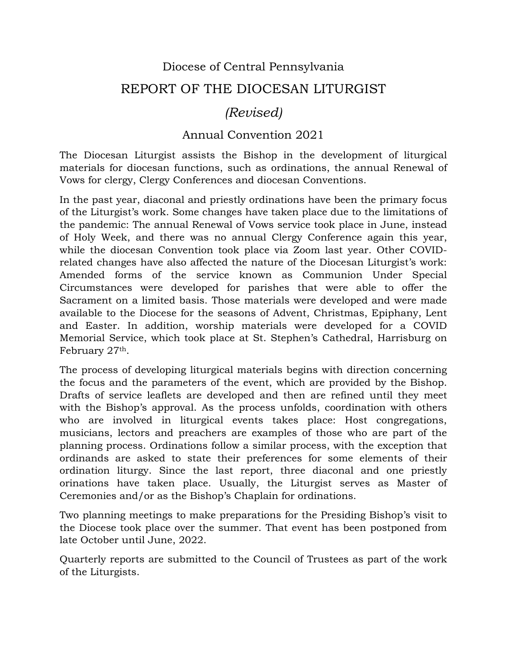## Diocese of Central Pennsylvania REPORT OF THE DIOCESAN LITURGIST

## *(Revised)*

## Annual Convention 2021

The Diocesan Liturgist assists the Bishop in the development of liturgical materials for diocesan functions, such as ordinations, the annual Renewal of Vows for clergy, Clergy Conferences and diocesan Conventions.

In the past year, diaconal and priestly ordinations have been the primary focus of the Liturgist's work. Some changes have taken place due to the limitations of the pandemic: The annual Renewal of Vows service took place in June, instead of Holy Week, and there was no annual Clergy Conference again this year, while the diocesan Convention took place via Zoom last year. Other COVIDrelated changes have also affected the nature of the Diocesan Liturgist's work: Amended forms of the service known as Communion Under Special Circumstances were developed for parishes that were able to offer the Sacrament on a limited basis. Those materials were developed and were made available to the Diocese for the seasons of Advent, Christmas, Epiphany, Lent and Easter. In addition, worship materials were developed for a COVID Memorial Service, which took place at St. Stephen's Cathedral, Harrisburg on February 27th.

The process of developing liturgical materials begins with direction concerning the focus and the parameters of the event, which are provided by the Bishop. Drafts of service leaflets are developed and then are refined until they meet with the Bishop's approval. As the process unfolds, coordination with others who are involved in liturgical events takes place: Host congregations, musicians, lectors and preachers are examples of those who are part of the planning process. Ordinations follow a similar process, with the exception that ordinands are asked to state their preferences for some elements of their ordination liturgy. Since the last report, three diaconal and one priestly orinations have taken place. Usually, the Liturgist serves as Master of Ceremonies and/or as the Bishop's Chaplain for ordinations.

Two planning meetings to make preparations for the Presiding Bishop's visit to the Diocese took place over the summer. That event has been postponed from late October until June, 2022.

Quarterly reports are submitted to the Council of Trustees as part of the work of the Liturgists.